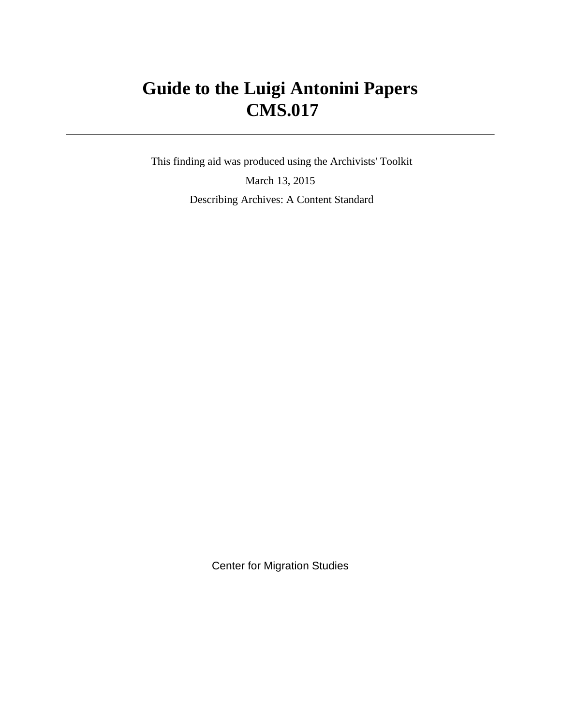# **Guide to the Luigi Antonini Papers CMS.017**

 This finding aid was produced using the Archivists' Toolkit March 13, 2015 Describing Archives: A Content Standard

Center for Migration Studies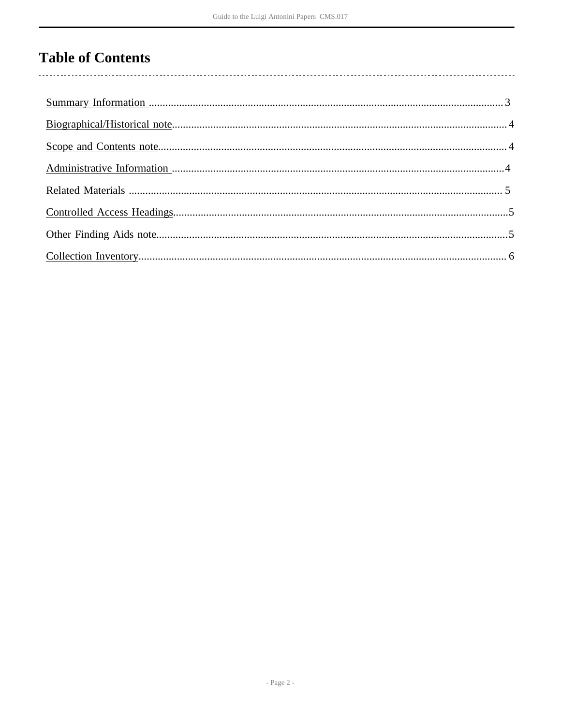# **Table of Contents**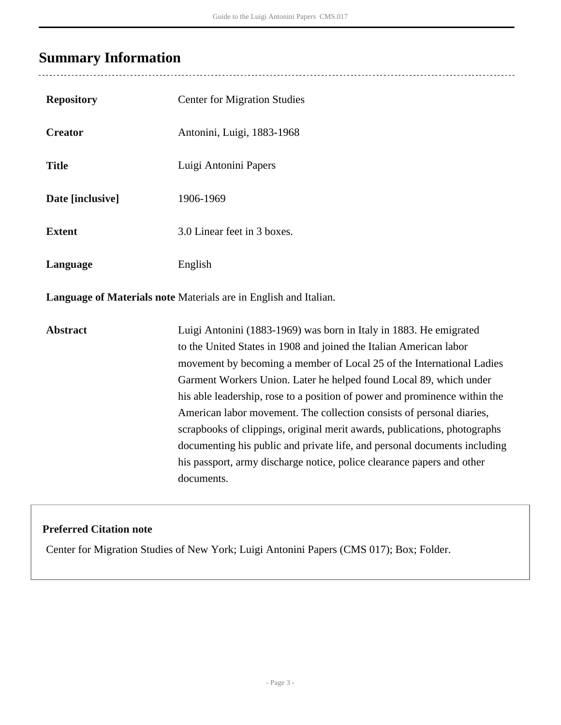# <span id="page-2-0"></span>**Summary Information**

 $\overline{a}$ 

| <b>Repository</b>                                                | <b>Center for Migration Studies</b>                                                                                                                                                                                                                                                                                                                                                                                                                                                                                                                                                                                                                                                |  |  |  |
|------------------------------------------------------------------|------------------------------------------------------------------------------------------------------------------------------------------------------------------------------------------------------------------------------------------------------------------------------------------------------------------------------------------------------------------------------------------------------------------------------------------------------------------------------------------------------------------------------------------------------------------------------------------------------------------------------------------------------------------------------------|--|--|--|
| <b>Creator</b>                                                   | Antonini, Luigi, 1883-1968                                                                                                                                                                                                                                                                                                                                                                                                                                                                                                                                                                                                                                                         |  |  |  |
| <b>Title</b>                                                     | Luigi Antonini Papers                                                                                                                                                                                                                                                                                                                                                                                                                                                                                                                                                                                                                                                              |  |  |  |
| Date [inclusive]                                                 | 1906-1969                                                                                                                                                                                                                                                                                                                                                                                                                                                                                                                                                                                                                                                                          |  |  |  |
| <b>Extent</b>                                                    | 3.0 Linear feet in 3 boxes.                                                                                                                                                                                                                                                                                                                                                                                                                                                                                                                                                                                                                                                        |  |  |  |
| Language                                                         | English                                                                                                                                                                                                                                                                                                                                                                                                                                                                                                                                                                                                                                                                            |  |  |  |
| Language of Materials note Materials are in English and Italian. |                                                                                                                                                                                                                                                                                                                                                                                                                                                                                                                                                                                                                                                                                    |  |  |  |
| <b>Abstract</b>                                                  | Luigi Antonini (1883-1969) was born in Italy in 1883. He emigrated<br>to the United States in 1908 and joined the Italian American labor<br>movement by becoming a member of Local 25 of the International Ladies<br>Garment Workers Union. Later he helped found Local 89, which under<br>his able leadership, rose to a position of power and prominence within the<br>American labor movement. The collection consists of personal diaries,<br>scrapbooks of clippings, original merit awards, publications, photographs<br>documenting his public and private life, and personal documents including<br>his passport, army discharge notice, police clearance papers and other |  |  |  |

### **Preferred Citation note**

Center for Migration Studies of New York; Luigi Antonini Papers (CMS 017); Box; Folder.

documents.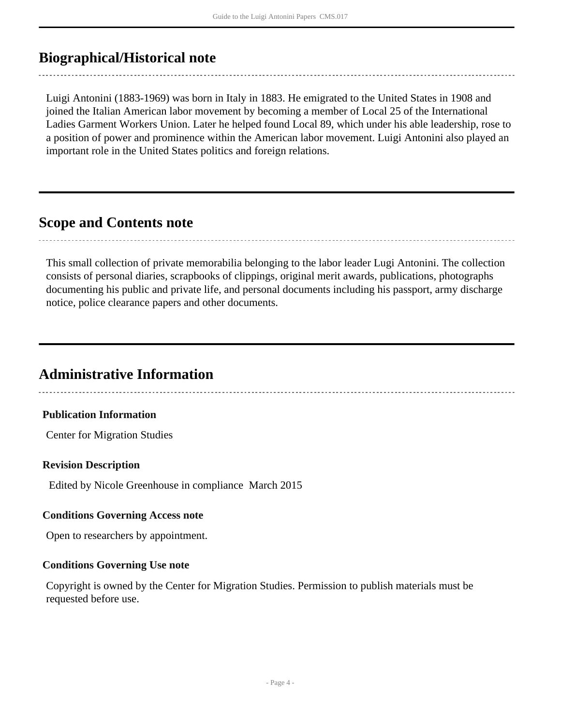# <span id="page-3-0"></span>**Biographical/Historical note**

Luigi Antonini (1883-1969) was born in Italy in 1883. He emigrated to the United States in 1908 and joined the Italian American labor movement by becoming a member of Local 25 of the International Ladies Garment Workers Union. Later he helped found Local 89, which under his able leadership, rose to a position of power and prominence within the American labor movement. Luigi Antonini also played an important role in the United States politics and foreign relations.

## <span id="page-3-1"></span>**Scope and Contents note**

This small collection of private memorabilia belonging to the labor leader Lugi Antonini. The collection consists of personal diaries, scrapbooks of clippings, original merit awards, publications, photographs documenting his public and private life, and personal documents including his passport, army discharge notice, police clearance papers and other documents.

# <span id="page-3-2"></span>**Administrative Information**

### **Publication Information**

Center for Migration Studies

#### **Revision Description**

Edited by Nicole Greenhouse in compliance March 2015

#### **Conditions Governing Access note**

Open to researchers by appointment.

#### **Conditions Governing Use note**

Copyright is owned by the Center for Migration Studies. Permission to publish materials must be requested before use.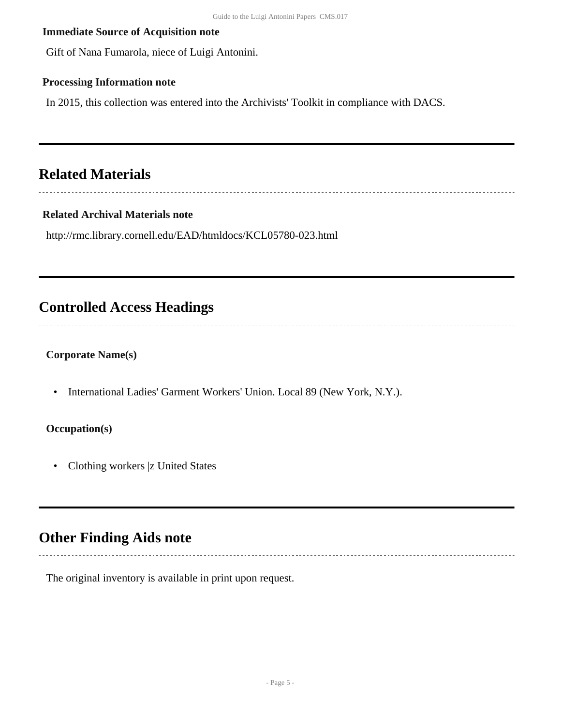### **Immediate Source of Acquisition note**

Gift of Nana Fumarola, niece of Luigi Antonini.

### **Processing Information note**

In 2015, this collection was entered into the Archivists' Toolkit in compliance with DACS.

# <span id="page-4-0"></span>**Related Materials**

### **Related Archival Materials note**

http://rmc.library.cornell.edu/EAD/htmldocs/KCL05780-023.html

### <span id="page-4-1"></span>**Controlled Access Headings**

### **Corporate Name(s)**

• International Ladies' Garment Workers' Union. Local 89 (New York, N.Y.).

### **Occupation(s)**

• Clothing workers |z United States

# <span id="page-4-2"></span>**Other Finding Aids note**

The original inventory is available in print upon request.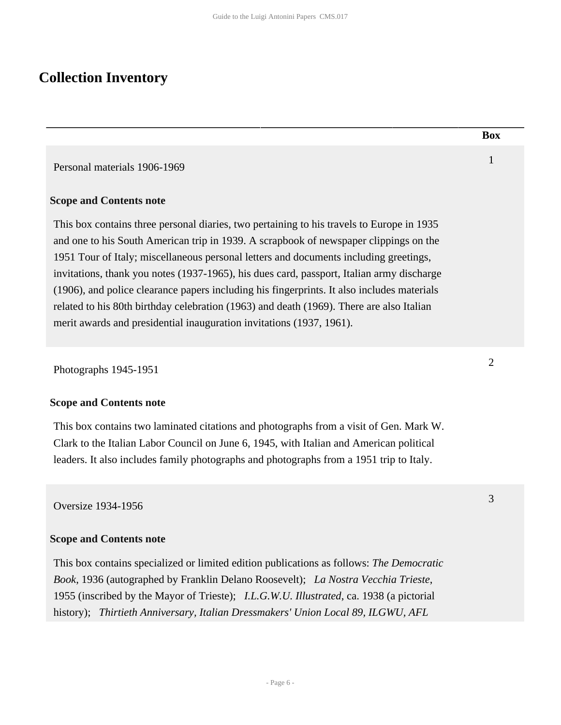# <span id="page-5-0"></span>**Collection Inventory**

|                                                                                                                                                                                                                                                                                                                                                                                                                                                                                                                                                                                                                                            | <b>Box</b>     |
|--------------------------------------------------------------------------------------------------------------------------------------------------------------------------------------------------------------------------------------------------------------------------------------------------------------------------------------------------------------------------------------------------------------------------------------------------------------------------------------------------------------------------------------------------------------------------------------------------------------------------------------------|----------------|
| Personal materials 1906-1969                                                                                                                                                                                                                                                                                                                                                                                                                                                                                                                                                                                                               | $\mathbf{1}$   |
| <b>Scope and Contents note</b>                                                                                                                                                                                                                                                                                                                                                                                                                                                                                                                                                                                                             |                |
| This box contains three personal diaries, two pertaining to his travels to Europe in 1935<br>and one to his South American trip in 1939. A scrapbook of newspaper clippings on the<br>1951 Tour of Italy; miscellaneous personal letters and documents including greetings,<br>invitations, thank you notes (1937-1965), his dues card, passport, Italian army discharge<br>(1906), and police clearance papers including his fingerprints. It also includes materials<br>related to his 80th birthday celebration (1963) and death (1969). There are also Italian<br>merit awards and presidential inauguration invitations (1937, 1961). |                |
| Photographs 1945-1951                                                                                                                                                                                                                                                                                                                                                                                                                                                                                                                                                                                                                      | $\overline{2}$ |
| <b>Scope and Contents note</b>                                                                                                                                                                                                                                                                                                                                                                                                                                                                                                                                                                                                             |                |
| This box contains two laminated citations and photographs from a visit of Gen. Mark W.<br>Clark to the Italian Labor Council on June 6, 1945, with Italian and American political<br>leaders. It also includes family photographs and photographs from a 1951 trip to Italy.                                                                                                                                                                                                                                                                                                                                                               |                |
| <b>Oversize 1934-1956</b>                                                                                                                                                                                                                                                                                                                                                                                                                                                                                                                                                                                                                  | 3              |
| <b>Scope and Contents note</b>                                                                                                                                                                                                                                                                                                                                                                                                                                                                                                                                                                                                             |                |
| This hove contains specialized or limited edition publications as follows: The Democratic                                                                                                                                                                                                                                                                                                                                                                                                                                                                                                                                                  |                |

This box contains specialized or limited edition publications as follows: *The Democratic Book*, 1936 (autographed by Franklin Delano Roosevelt); *La Nostra Vecchia Trieste*, 1955 (inscribed by the Mayor of Trieste); *I.L.G.W.U. Illustrated*, ca. 1938 (a pictorial history); *Thirtieth Anniversary, Italian Dressmakers' Union Local 89, ILGWU, AFL*